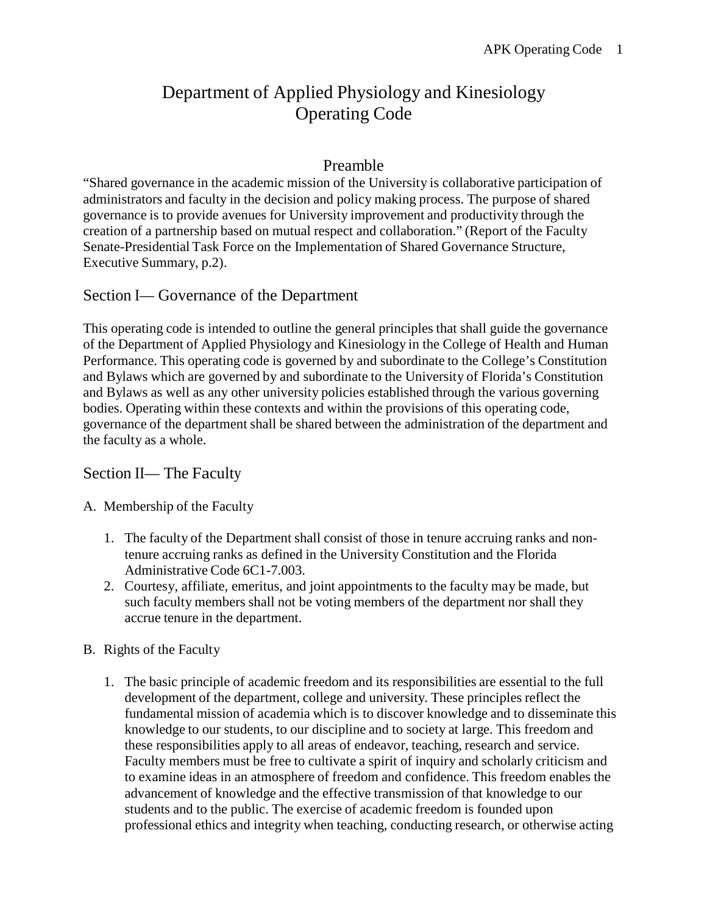# Department of Applied Physiology and Kinesiology Operating Code

# Preamble

"Shared governance in the academic mission of the University is collaborative participation of administrators and faculty in the decision and policy making process. The purpose of shared governance is to provide avenues for University improvement and productivity through the creation of a partnership based on mutual respect and collaboration." (Report of the Faculty Senate-Presidential Task Force on the Implementation of Shared Governance Structure, Executive Summary, p.2).

# Section I— Governance of the Department

This operating code is intended to outline the general principles that shall guide the governance of the Department of Applied Physiology and Kinesiology in the College of Health and Human Performance. This operating code is governed by and subordinate to the College's Constitution and Bylaws which are governed by and subordinate to the University of Florida's Constitution and Bylaws as well as any other university policies established through the various governing bodies. Operating within these contexts and within the provisions of this operating code, governance of the department shall be shared between the administration of the department and the faculty as a whole.

## Section II— The Faculty

### A. Membership of the Faculty

- 1. The faculty of the Department shall consist of those in tenure accruing ranks and nontenure accruing ranks as defined in the University Constitution and the Florida Administrative Code 6C1-7.003.
- 2. Courtesy, affiliate, emeritus, and joint appointments to the faculty may be made, but such faculty members shall not be voting members of the department nor shall they accrue tenure in the department.

### B. Rights of the Faculty

1. The basic principle of academic freedom and its responsibilities are essential to the full development of the department, college and university. These principles reflect the fundamental mission of academia which is to discover knowledge and to disseminate this knowledge to our students, to our discipline and to society at large. This freedom and these responsibilities apply to all areas of endeavor, teaching, research and service. Faculty members must be free to cultivate a spirit of inquiry and scholarly criticism and to examine ideas in an atmosphere of freedom and confidence. This freedom enables the advancement of knowledge and the effective transmission of that knowledge to our students and to the public. The exercise of academic freedom is founded upon professional ethics and integrity when teaching, conducting research, or otherwise acting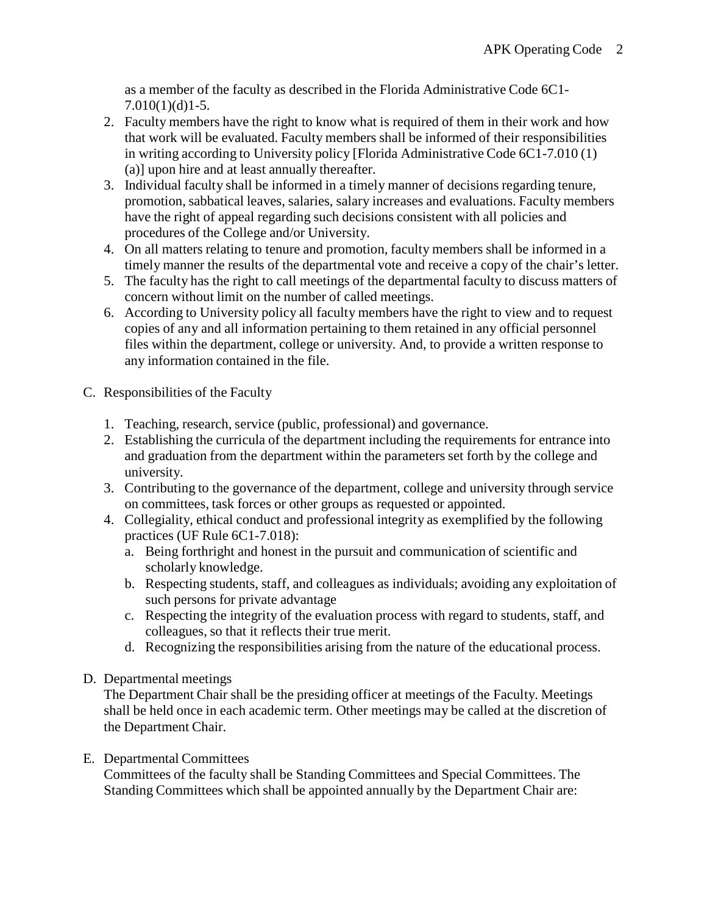as a member of the faculty as described in the Florida Administrative Code 6C1- 7.010(1)(d)1-5.

- 2. Faculty members have the right to know what is required of them in their work and how that work will be evaluated. Faculty members shall be informed of their responsibilities in writing according to University policy [Florida Administrative Code 6C1-7.010 (1) (a)] upon hire and at least annually thereafter.
- 3. Individual faculty shall be informed in a timely manner of decisions regarding tenure, promotion, sabbatical leaves, salaries, salary increases and evaluations. Faculty members have the right of appeal regarding such decisions consistent with all policies and procedures of the College and/or University.
- 4. On all matters relating to tenure and promotion, faculty members shall be informed in a timely manner the results of the departmental vote and receive a copy of the chair's letter.
- 5. The faculty has the right to call meetings of the departmental faculty to discuss matters of concern without limit on the number of called meetings.
- 6. According to University policy all faculty members have the right to view and to request copies of any and all information pertaining to them retained in any official personnel files within the department, college or university. And, to provide a written response to any information contained in the file.
- C. Responsibilities of the Faculty
	- 1. Teaching, research, service (public, professional) and governance.
	- 2. Establishing the curricula of the department including the requirements for entrance into and graduation from the department within the parameters set forth by the college and university.
	- 3. Contributing to the governance of the department, college and university through service on committees, task forces or other groups as requested or appointed.
	- 4. Collegiality, ethical conduct and professional integrity as exemplified by the following practices (UF Rule 6C1-7.018):
		- a. Being forthright and honest in the pursuit and communication of scientific and scholarly knowledge.
		- b. Respecting students, staff, and colleagues as individuals; avoiding any exploitation of such persons for private advantage
		- c. Respecting the integrity of the evaluation process with regard to students, staff, and colleagues, so that it reflects their true merit.
		- d. Recognizing the responsibilities arising from the nature of the educational process.
- D. Departmental meetings

The Department Chair shall be the presiding officer at meetings of the Faculty. Meetings shall be held once in each academic term. Other meetings may be called at the discretion of the Department Chair.

### E. Departmental Committees

Committees of the faculty shall be Standing Committees and Special Committees. The Standing Committees which shall be appointed annually by the Department Chair are: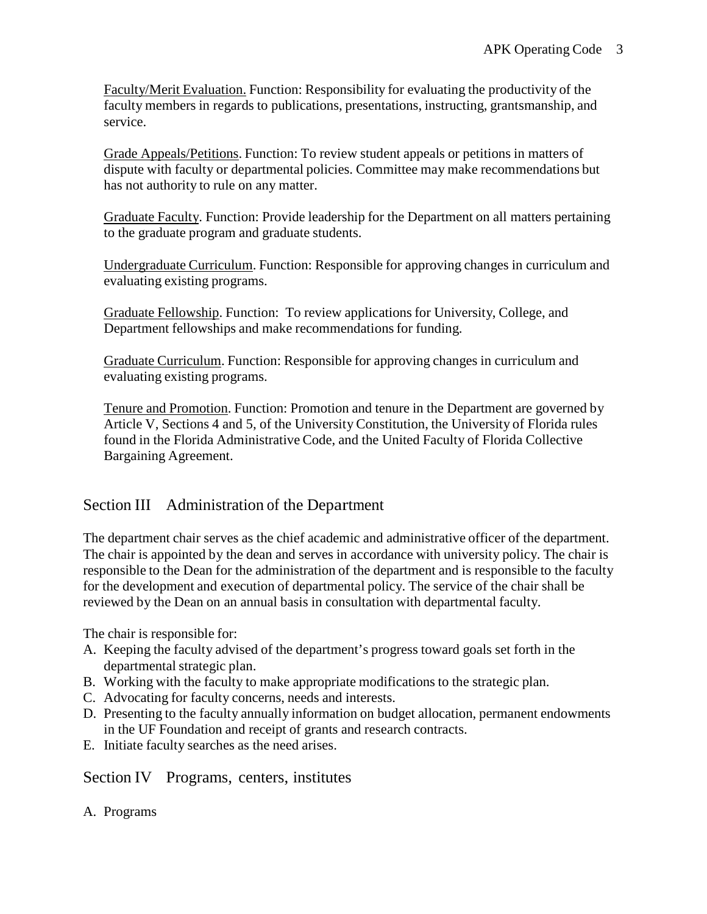Faculty/Merit Evaluation. Function: Responsibility for evaluating the productivity of the faculty members in regards to publications, presentations, instructing, grantsmanship, and service.

Grade Appeals/Petitions. Function: To review student appeals or petitions in matters of dispute with faculty or departmental policies. Committee may make recommendations but has not authority to rule on any matter.

Graduate Faculty. Function: Provide leadership for the Department on all matters pertaining to the graduate program and graduate students.

Undergraduate Curriculum. Function: Responsible for approving changes in curriculum and evaluating existing programs.

Graduate Fellowship. Function: To review applications for University, College, and Department fellowships and make recommendations for funding.

Graduate Curriculum. Function: Responsible for approving changes in curriculum and evaluating existing programs.

Tenure and Promotion. Function: Promotion and tenure in the Department are governed by Article V, Sections 4 and 5, of the University Constitution, the University of Florida rules found in the Florida Administrative Code, and the United Faculty of Florida Collective Bargaining Agreement.

# Section III Administration of the Department

The department chair serves as the chief academic and administrative officer of the department. The chair is appointed by the dean and serves in accordance with university policy. The chair is responsible to the Dean for the administration of the department and is responsible to the faculty for the development and execution of departmental policy. The service of the chair shall be reviewed by the Dean on an annual basis in consultation with departmental faculty.

The chair is responsible for:

- A. Keeping the faculty advised of the department's progress toward goals set forth in the departmental strategic plan.
- B. Working with the faculty to make appropriate modifications to the strategic plan.
- C. Advocating for faculty concerns, needs and interests.
- D. Presenting to the faculty annually information on budget allocation, permanent endowments in the UF Foundation and receipt of grants and research contracts.
- E. Initiate faculty searches as the need arises.

Section IV Programs, centers, institutes

A. Programs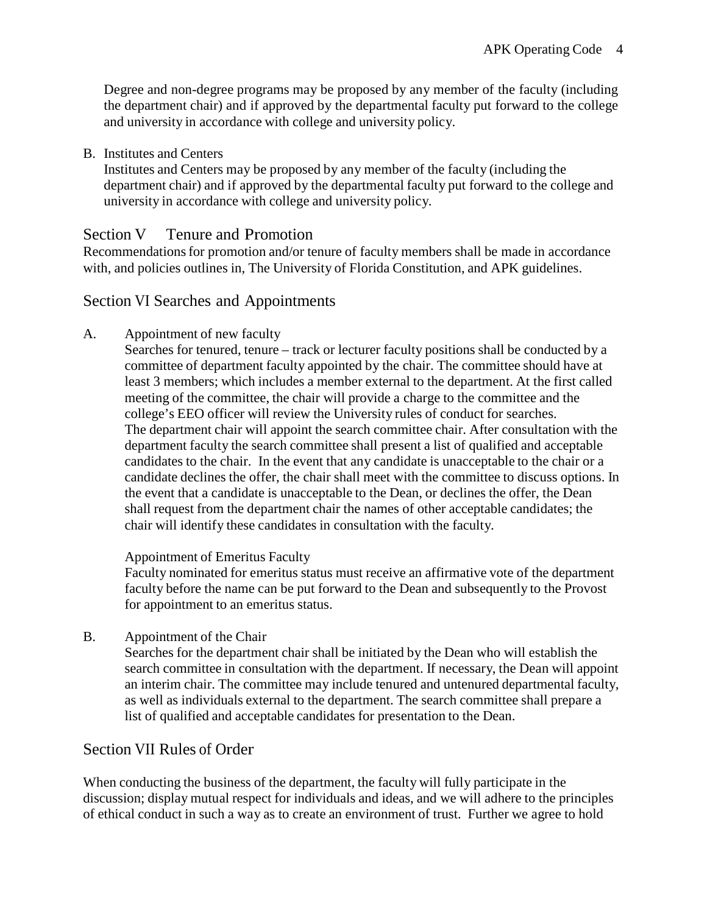Degree and non-degree programs may be proposed by any member of the faculty (including the department chair) and if approved by the departmental faculty put forward to the college and university in accordance with college and university policy.

B. Institutes and Centers

Institutes and Centers may be proposed by any member of the faculty (including the department chair) and if approved by the departmental faculty put forward to the college and university in accordance with college and university policy.

## Section V Tenure and Promotion

Recommendations for promotion and/or tenure of faculty members shall be made in accordance with, and policies outlines in, The University of Florida Constitution, and APK guidelines.

## Section VI Searches and Appointments

- A. Appointment of new faculty
	- Searches for tenured, tenure track or lecturer faculty positions shall be conducted by a committee of department faculty appointed by the chair. The committee should have at least 3 members; which includes a member external to the department. At the first called meeting of the committee, the chair will provide a charge to the committee and the college's EEO officer will review the University rules of conduct for searches. The department chair will appoint the search committee chair. After consultation with the department faculty the search committee shall present a list of qualified and acceptable candidates to the chair. In the event that any candidate is unacceptable to the chair or a candidate declines the offer, the chair shall meet with the committee to discuss options. In the event that a candidate is unacceptable to the Dean, or declines the offer, the Dean shall request from the department chair the names of other acceptable candidates; the chair will identify these candidates in consultation with the faculty.

#### Appointment of Emeritus Faculty

Faculty nominated for emeritus status must receive an affirmative vote of the department faculty before the name can be put forward to the Dean and subsequently to the Provost for appointment to an emeritus status.

B. Appointment of the Chair

Searches for the department chair shall be initiated by the Dean who will establish the search committee in consultation with the department. If necessary, the Dean will appoint an interim chair. The committee may include tenured and untenured departmental faculty, as well as individuals external to the department. The search committee shall prepare a list of qualified and acceptable candidates for presentation to the Dean.

# Section VII Rules of Order

When conducting the business of the department, the faculty will fully participate in the discussion; display mutual respect for individuals and ideas, and we will adhere to the principles of ethical conduct in such a way as to create an environment of trust. Further we agree to hold